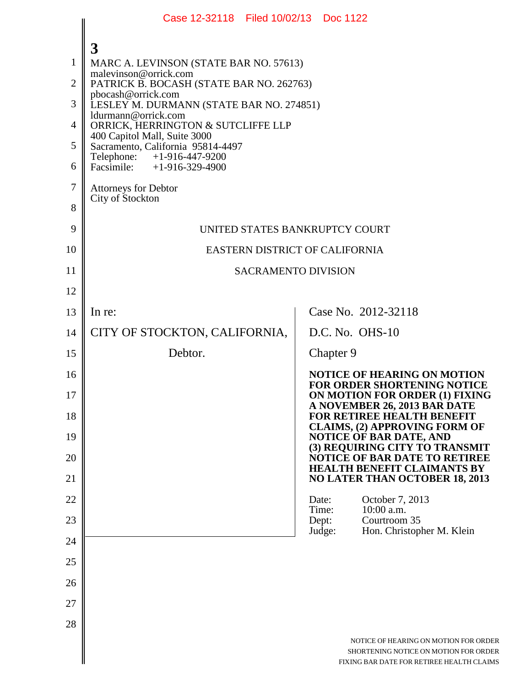|                | Case 12-32118 Filed 10/02/13 Doc 1122                             |                                                                                                                             |  |  |
|----------------|-------------------------------------------------------------------|-----------------------------------------------------------------------------------------------------------------------------|--|--|
|                |                                                                   |                                                                                                                             |  |  |
| 1              | 3<br>MARC A. LEVINSON (STATE BAR NO. 57613)                       |                                                                                                                             |  |  |
| $\overline{2}$ | malevinson@orrick.com<br>PATRICK B. BOCASH (STATE BAR NO. 262763) |                                                                                                                             |  |  |
| 3              | pbocash@orrick.com<br>LESLEY M. DURMANN (STATE BAR NO. 274851)    |                                                                                                                             |  |  |
| 4              | ldurmann@orrick.com<br>ORRICK, HERRINGTON & SUTCLIFFE LLP         |                                                                                                                             |  |  |
| 5              | 400 Capitol Mall, Suite 3000<br>Sacramento, California 95814-4497 |                                                                                                                             |  |  |
| 6              | Telephone:<br>+1-916-447-9200<br>Facsimile: $+1-916-329-4900$     |                                                                                                                             |  |  |
| 7              | <b>Attorneys for Debtor</b>                                       |                                                                                                                             |  |  |
| 8              | City of Stockton                                                  |                                                                                                                             |  |  |
| 9              | UNITED STATES BANKRUPTCY COURT                                    |                                                                                                                             |  |  |
| 10             | EASTERN DISTRICT OF CALIFORNIA                                    |                                                                                                                             |  |  |
| 11             | <b>SACRAMENTO DIVISION</b>                                        |                                                                                                                             |  |  |
| 12             |                                                                   |                                                                                                                             |  |  |
| 13             | In re:                                                            | Case No. 2012-32118                                                                                                         |  |  |
| 14             | CITY OF STOCKTON, CALIFORNIA,                                     | D.C. No. OHS-10                                                                                                             |  |  |
| 15             | Debtor.                                                           | Chapter 9                                                                                                                   |  |  |
| 16             |                                                                   | <b>NOTICE OF HEARING ON MOTION</b><br><b>FOR ORDER SHORTENING NOTICE</b>                                                    |  |  |
| 17             |                                                                   | ON MOTION FOR ORDER (1) FIXING<br>A NOVEMBER 26, 2013 BAR DATE                                                              |  |  |
| 18             |                                                                   | FOR RETIREE HEALTH BENEFIT<br><b>CLAIMS, (2) APPROVING FORM OF</b>                                                          |  |  |
| 19<br>20       |                                                                   | <b>NOTICE OF BAR DATE, AND</b><br>(3) REQUIRING CITY TO TRANSMIT<br>NOTICE OF BAR DATE TO RETIREE                           |  |  |
| 21             |                                                                   | <b>HEALTH BENEFIT CLAIMANTS BY</b><br><b>NO LATER THAN OCTOBER 18, 2013</b>                                                 |  |  |
| 22             |                                                                   | Date:<br>October 7, 2013                                                                                                    |  |  |
| 23             |                                                                   | 10:00 a.m.<br>Time:<br>Courtroom 35<br>Dept:                                                                                |  |  |
| 24             |                                                                   | Judge:<br>Hon. Christopher M. Klein                                                                                         |  |  |
| 25             |                                                                   |                                                                                                                             |  |  |
| 26             |                                                                   |                                                                                                                             |  |  |
| 27             |                                                                   |                                                                                                                             |  |  |
| 28             |                                                                   |                                                                                                                             |  |  |
|                |                                                                   | NOTICE OF HEARING ON MOTION FOR ORDER<br>SHORTENING NOTICE ON MOTION FOR ORDER<br>FIXING BAR DATE FOR RETIREE HEALTH CLAIMS |  |  |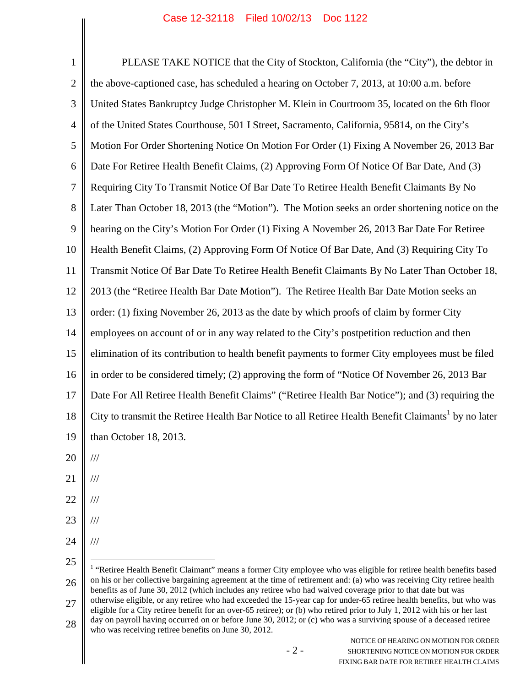1 2 3 4 5 6 7 8 9 10 11 12 13 14 15 16 17 18 19 20 PLEASE TAKE NOTICE that the City of Stockton, California (the "City"), the debtor in the above-captioned case, has scheduled a hearing on October 7, 2013, at 10:00 a.m. before United States Bankruptcy Judge Christopher M. Klein in Courtroom 35, located on the 6th floor of the United States Courthouse, 501 I Street, Sacramento, California, 95814, on the City's Motion For Order Shortening Notice On Motion For Order (1) Fixing A November 26, 2013 Bar Date For Retiree Health Benefit Claims, (2) Approving Form Of Notice Of Bar Date, And (3) Requiring City To Transmit Notice Of Bar Date To Retiree Health Benefit Claimants By No Later Than October 18, 2013 (the "Motion"). The Motion seeks an order shortening notice on the hearing on the City's Motion For Order (1) Fixing A November 26, 2013 Bar Date For Retiree Health Benefit Claims, (2) Approving Form Of Notice Of Bar Date, And (3) Requiring City To Transmit Notice Of Bar Date To Retiree Health Benefit Claimants By No Later Than October 18, 2013 (the "Retiree Health Bar Date Motion"). The Retiree Health Bar Date Motion seeks an order: (1) fixing November 26, 2013 as the date by which proofs of claim by former City employees on account of or in any way related to the City's postpetition reduction and then elimination of its contribution to health benefit payments to former City employees must be filed in order to be considered timely; (2) approving the form of "Notice Of November 26, 2013 Bar Date For All Retiree Health Benefit Claims" ("Retiree Health Bar Notice"); and (3) requiring the City to transmit the Retiree Health Bar Notice to all Retiree Health Benefit Claimants<sup>1</sup> by no later than October 18, 2013. ///

- 
- 21 ///
- 22 ///
- 23 ///
- 24 ///
- 25

<sup>26</sup> 27 <sup>1</sup> "Retiree Health Benefit Claimant" means a former City employee who was eligible for retiree health benefits based on his or her collective bargaining agreement at the time of retirement and: (a) who was receiving City retiree health benefits as of June 30, 2012 (which includes any retiree who had waived coverage prior to that date but was otherwise eligible, or any retiree who had exceeded the 15-year cap for under-65 retiree health benefits, but who was eligible for a City retiree benefit for an over-65 retiree); or (b) who retired prior to July 1, 2012 with his or her last

<sup>28</sup> day on payroll having occurred on or before June 30, 2012; or (c) who was a surviving spouse of a deceased retiree who was receiving retiree benefits on June 30, 2012.